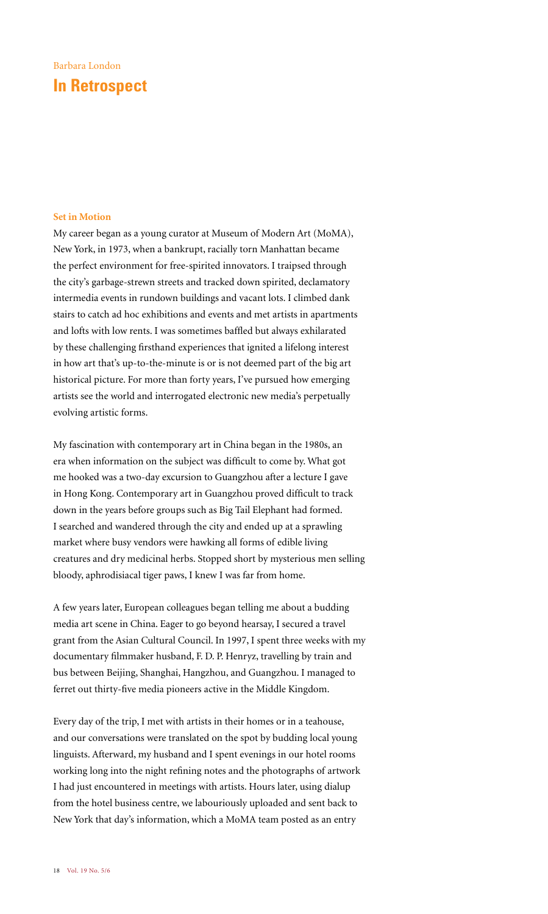## Barbara London **In Retrospect**

## **Set in Motion**

My career began as a young curator at Museum of Modern Art (MoMA), New York, in 1973, when a bankrupt, racially torn Manhattan became the perfect environment for free-spirited innovators. I traipsed through the city's garbage-strewn streets and tracked down spirited, declamatory intermedia events in rundown buildings and vacant lots. I climbed dank stairs to catch ad hoc exhibitions and events and met artists in apartments and lofts with low rents. I was sometimes baffled but always exhilarated by these challenging firsthand experiences that ignited a lifelong interest in how art that's up-to-the-minute is or is not deemed part of the big art historical picture. For more than forty years, I've pursued how emerging artists see the world and interrogated electronic new media's perpetually evolving artistic forms.

My fascination with contemporary art in China began in the 1980s, an era when information on the subject was difficult to come by. What got me hooked was a two-day excursion to Guangzhou after a lecture I gave in Hong Kong. Contemporary art in Guangzhou proved difficult to track down in the years before groups such as Big Tail Elephant had formed. I searched and wandered through the city and ended up at a sprawling market where busy vendors were hawking all forms of edible living creatures and dry medicinal herbs. Stopped short by mysterious men selling bloody, aphrodisiacal tiger paws, I knew I was far from home.

A few years later, European colleagues began telling me about a budding media art scene in China. Eager to go beyond hearsay, I secured a travel grant from the Asian Cultural Council. In 1997, I spent three weeks with my documentary filmmaker husband, F. D. P. Henryz, travelling by train and bus between Beijing, Shanghai, Hangzhou, and Guangzhou. I managed to ferret out thirty-five media pioneers active in the Middle Kingdom.

Every day of the trip, I met with artists in their homes or in a teahouse, and our conversations were translated on the spot by budding local young linguists. Afterward, my husband and I spent evenings in our hotel rooms working long into the night refining notes and the photographs of artwork I had just encountered in meetings with artists. Hours later, using dialup from the hotel business centre, we labouriously uploaded and sent back to New York that day's information, which a MoMA team posted as an entry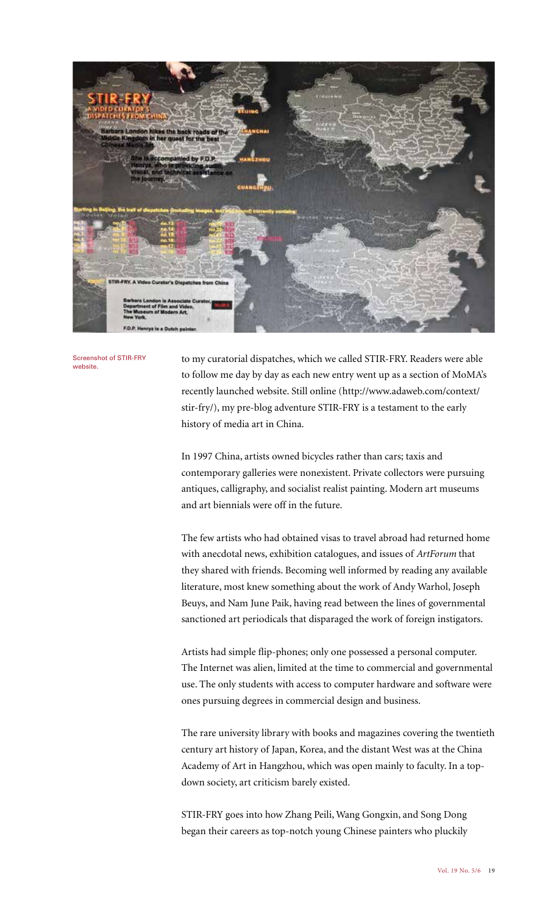

Screenshot of STIR-FRY website.

to my curatorial dispatches, which we called STIR-FRY. Readers were able to follow me day by day as each new entry went up as a section of MoMA's recently launched website. Still online (http://www.adaweb.com/context/ stir-fry/), my pre-blog adventure STIR-FRY is a testament to the early history of media art in China.

In 1997 China, artists owned bicycles rather than cars; taxis and contemporary galleries were nonexistent. Private collectors were pursuing antiques, calligraphy, and socialist realist painting. Modern art museums and art biennials were off in the future.

The few artists who had obtained visas to travel abroad had returned home with anecdotal news, exhibition catalogues, and issues of *ArtForum* that they shared with friends. Becoming well informed by reading any available literature, most knew something about the work of Andy Warhol, Joseph Beuys, and Nam June Paik, having read between the lines of governmental sanctioned art periodicals that disparaged the work of foreign instigators.

Artists had simple flip-phones; only one possessed a personal computer. The Internet was alien, limited at the time to commercial and governmental use. The only students with access to computer hardware and software were ones pursuing degrees in commercial design and business.

The rare university library with books and magazines covering the twentieth century art history of Japan, Korea, and the distant West was at the China Academy of Art in Hangzhou, which was open mainly to faculty. In a topdown society, art criticism barely existed.

STIR-FRY goes into how Zhang Peili, Wang Gongxin, and Song Dong began their careers as top-notch young Chinese painters who pluckily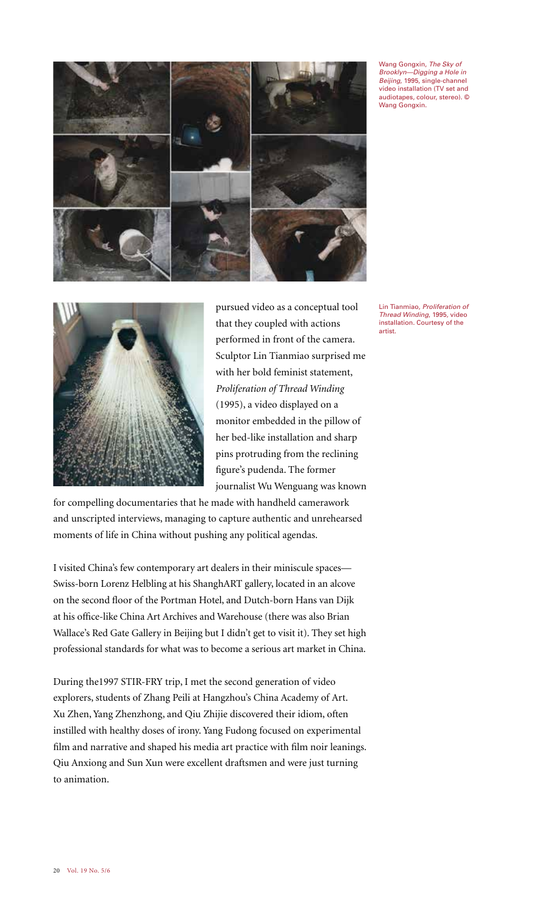

Wang Gongxin, *The Sky of Brooklyn—Digging a Hole in Beijing*, 1995, single-channel video installation (TV set and audiotapes, colour, stereo). © Wang Gongxin.



pursued video as a conceptual tool that they coupled with actions performed in front of the camera. Sculptor Lin Tianmiao surprised me with her bold feminist statement, *Proliferation of Thread Winding* (1995), a video displayed on a monitor embedded in the pillow of her bed-like installation and sharp pins protruding from the reclining figure's pudenda. The former journalist Wu Wenguang was known

for compelling documentaries that he made with handheld camerawork and unscripted interviews, managing to capture authentic and unrehearsed moments of life in China without pushing any political agendas.

I visited China's few contemporary art dealers in their miniscule spaces— Swiss-born Lorenz Helbling at his ShanghART gallery, located in an alcove on the second floor of the Portman Hotel, and Dutch-born Hans van Dijk at his office-like China Art Archives and Warehouse (there was also Brian Wallace's Red Gate Gallery in Beijing but I didn't get to visit it). They set high professional standards for what was to become a serious art market in China.

During the1997 STIR-FRY trip, I met the second generation of video explorers, students of Zhang Peili at Hangzhou's China Academy of Art. Xu Zhen, Yang Zhenzhong, and Qiu Zhijie discovered their idiom, often instilled with healthy doses of irony. Yang Fudong focused on experimental film and narrative and shaped his media art practice with film noir leanings. Qiu Anxiong and Sun Xun were excellent draftsmen and were just turning to animation.

Lin Tianmiao, *Proliferation of Thread Winding*, 1995, video installation. Courtesy of the artist.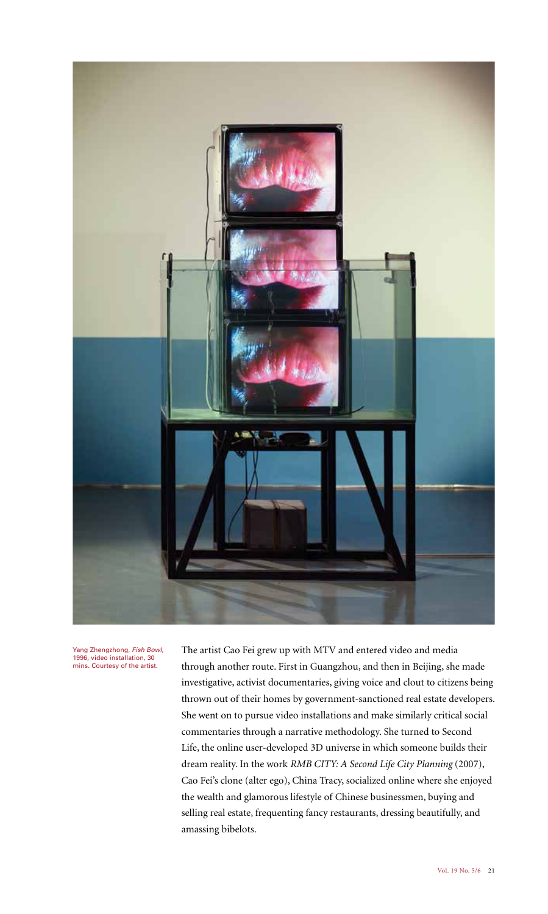

Yang Zhengzhong, *Fish Bowl*, 1996, video installation, 30 mins. Courtesy of the artist.

The artist Cao Fei grew up with MTV and entered video and media through another route. First in Guangzhou, and then in Beijing, she made investigative, activist documentaries, giving voice and clout to citizens being thrown out of their homes by government-sanctioned real estate developers. She went on to pursue video installations and make similarly critical social commentaries through a narrative methodology. She turned to Second Life, the online user-developed 3D universe in which someone builds their dream reality. In the work *RMB CITY: A Second Life City Planning* (2007), Cao Fei's clone (alter ego), China Tracy, socialized online where she enjoyed the wealth and glamorous lifestyle of Chinese businessmen, buying and selling real estate, frequenting fancy restaurants, dressing beautifully, and amassing bibelots.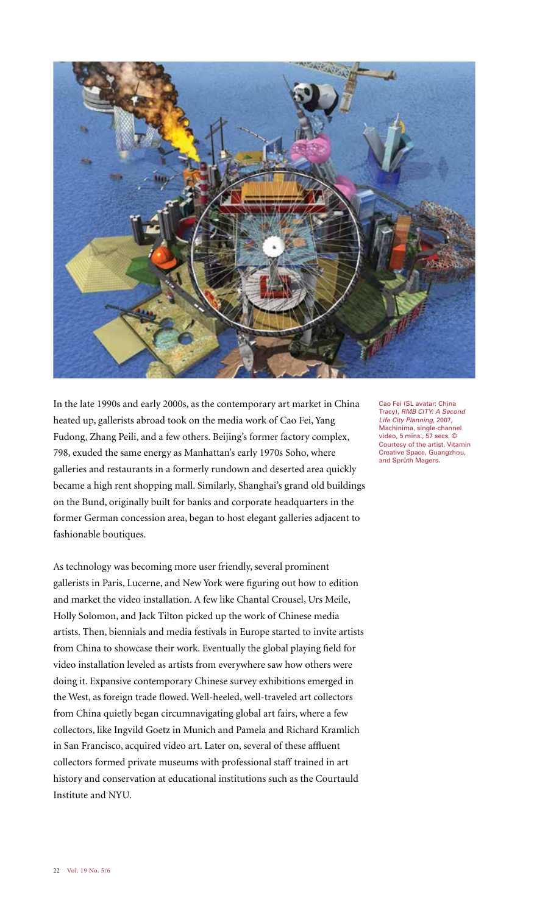

In the late 1990s and early 2000s, as the contemporary art market in China heated up, gallerists abroad took on the media work of Cao Fei, Yang Fudong, Zhang Peili, and a few others. Beijing's former factory complex, 798, exuded the same energy as Manhattan's early 1970s Soho, where galleries and restaurants in a formerly rundown and deserted area quickly became a high rent shopping mall. Similarly, Shanghai's grand old buildings on the Bund, originally built for banks and corporate headquarters in the former German concession area, began to host elegant galleries adjacent to fashionable boutiques.

As technology was becoming more user friendly, several prominent gallerists in Paris, Lucerne, and New York were figuring out how to edition and market the video installation. A few like Chantal Crousel, Urs Meile, Holly Solomon, and Jack Tilton picked up the work of Chinese media artists. Then, biennials and media festivals in Europe started to invite artists from China to showcase their work. Eventually the global playing field for video installation leveled as artists from everywhere saw how others were doing it. Expansive contemporary Chinese survey exhibitions emerged in the West, as foreign trade flowed. Well-heeled, well-traveled art collectors from China quietly began circumnavigating global art fairs, where a few collectors, like Ingvild Goetz in Munich and Pamela and Richard Kramlich in San Francisco, acquired video art. Later on, several of these affluent collectors formed private museums with professional staff trained in art history and conservation at educational institutions such as the Courtauld Institute and NYU.

Cao Fei (SL avatar: China Tracy), *RMB CITY: A Second Life City Planning*, 2007, Machinima, single-channel video, 5 mins., 57 secs. © Courtesy of the artist, Vitamin Creative Space, Guangzhou, and Sprüth Magers.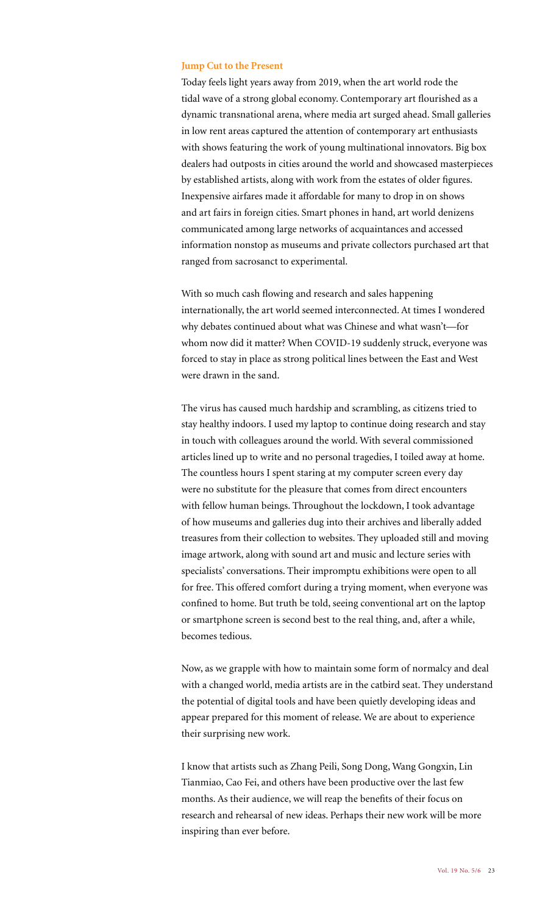## **Jump Cut to the Present**

Today feels light years away from 2019, when the art world rode the tidal wave of a strong global economy. Contemporary art flourished as a dynamic transnational arena, where media art surged ahead. Small galleries in low rent areas captured the attention of contemporary art enthusiasts with shows featuring the work of young multinational innovators. Big box dealers had outposts in cities around the world and showcased masterpieces by established artists, along with work from the estates of older figures. Inexpensive airfares made it affordable for many to drop in on shows and art fairs in foreign cities. Smart phones in hand, art world denizens communicated among large networks of acquaintances and accessed information nonstop as museums and private collectors purchased art that ranged from sacrosanct to experimental.

With so much cash flowing and research and sales happening internationally, the art world seemed interconnected. At times I wondered why debates continued about what was Chinese and what wasn't—for whom now did it matter? When COVID-19 suddenly struck, everyone was forced to stay in place as strong political lines between the East and West were drawn in the sand.

The virus has caused much hardship and scrambling, as citizens tried to stay healthy indoors. I used my laptop to continue doing research and stay in touch with colleagues around the world. With several commissioned articles lined up to write and no personal tragedies, I toiled away at home. The countless hours I spent staring at my computer screen every day were no substitute for the pleasure that comes from direct encounters with fellow human beings. Throughout the lockdown, I took advantage of how museums and galleries dug into their archives and liberally added treasures from their collection to websites. They uploaded still and moving image artwork, along with sound art and music and lecture series with specialists' conversations. Their impromptu exhibitions were open to all for free. This offered comfort during a trying moment, when everyone was confined to home. But truth be told, seeing conventional art on the laptop or smartphone screen is second best to the real thing, and, after a while, becomes tedious.

Now, as we grapple with how to maintain some form of normalcy and deal with a changed world, media artists are in the catbird seat. They understand the potential of digital tools and have been quietly developing ideas and appear prepared for this moment of release. We are about to experience their surprising new work.

I know that artists such as Zhang Peili, Song Dong, Wang Gongxin, Lin Tianmiao, Cao Fei, and others have been productive over the last few months. As their audience, we will reap the benefits of their focus on research and rehearsal of new ideas. Perhaps their new work will be more inspiring than ever before.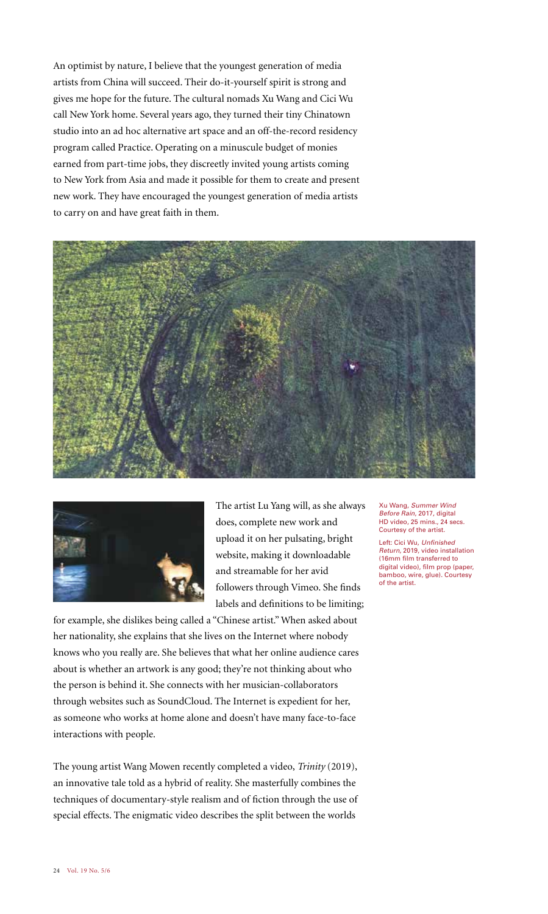An optimist by nature, I believe that the youngest generation of media artists from China will succeed. Their do-it-yourself spirit is strong and gives me hope for the future. The cultural nomads Xu Wang and Cici Wu call New York home. Several years ago, they turned their tiny Chinatown studio into an ad hoc alternative art space and an off-the-record residency program called Practice. Operating on a minuscule budget of monies earned from part-time jobs, they discreetly invited young artists coming to New York from Asia and made it possible for them to create and present new work. They have encouraged the youngest generation of media artists to carry on and have great faith in them.





The artist Lu Yang will, as she always does, complete new work and upload it on her pulsating, bright website, making it downloadable and streamable for her avid followers through Vimeo. She finds labels and definitions to be limiting;

for example, she dislikes being called a "Chinese artist." When asked about her nationality, she explains that she lives on the Internet where nobody knows who you really are. She believes that what her online audience cares about is whether an artwork is any good; they're not thinking about who the person is behind it. She connects with her musician-collaborators through websites such as SoundCloud. The Internet is expedient for her, as someone who works at home alone and doesn't have many face-to-face interactions with people.

The young artist Wang Mowen recently completed a video, *Trinity* (2019), an innovative tale told as a hybrid of reality. She masterfully combines the techniques of documentary-style realism and of fiction through the use of special effects. The enigmatic video describes the split between the worlds

Xu Wang, *Summer Wind Before Rain*, 2017, digital HD video, 25 mins., 24 secs. Courtesy of the artist.

Left: Cici Wu, *Unfinished Return*, 2019, video installation (16mm film transferred to digital video), film prop (paper, bamboo, wire, glue). Courtesy of the artist.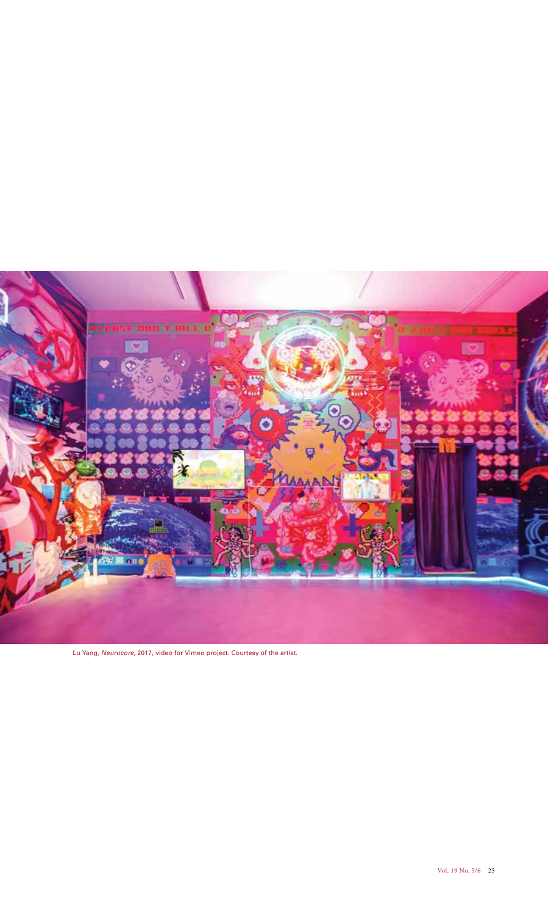

Lu Yang, *Neurocore*, 2017, video for Vimeo project. Courtesy of the artist.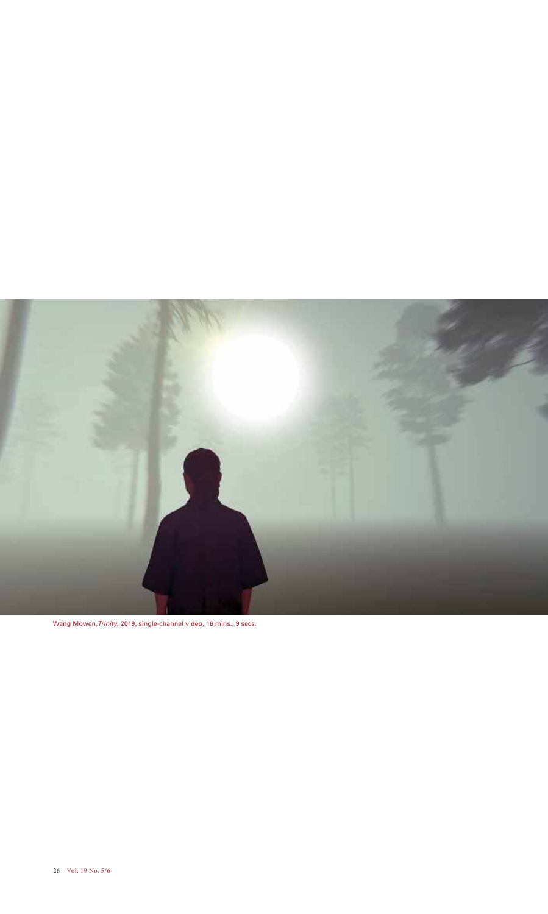

Wang Mowen,*Trinity*, 2019, single-channel video, 16 mins., 9 secs.